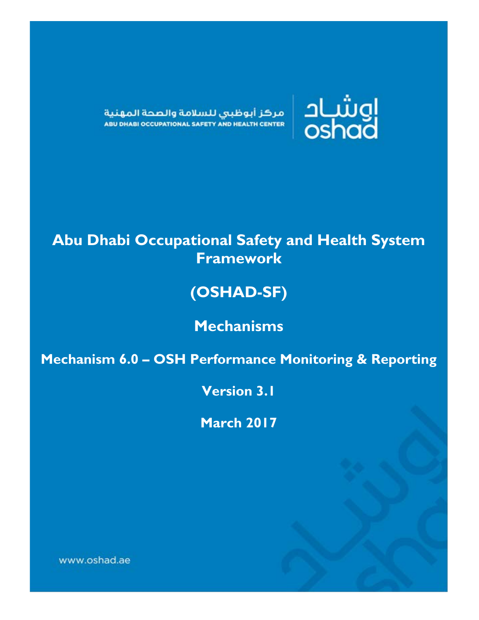

مركز أبوظبى للسلامة والصحة المهنية ABU DHABI OCCUPATIONAL SAFETY AND HEALTH CENTER

# **Abu Dhabi Occupational Safety and Health System Framework**

# **(OSHAD-SF)**

# **Mechanisms**

**Mechanism 6.0 – OSH Performance Monitoring & Reporting**

**Version 3.1**

**March 2017**

www.oshad.ae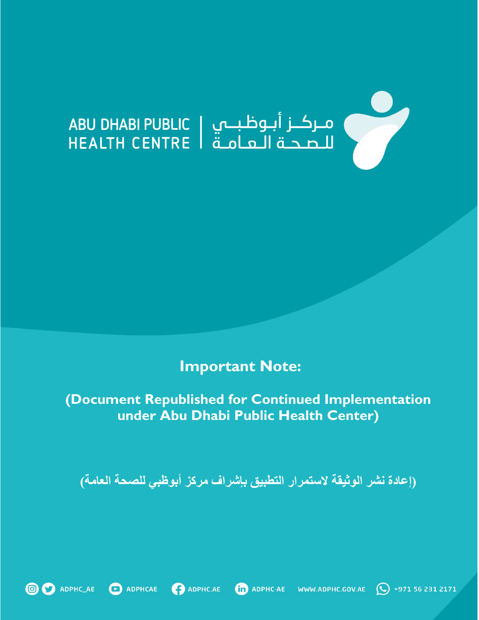# 

**Important Note:** 

**(Document Republished for Continued Implementation under Abu Dhabi Public Health Center)**

**)إعادة نشر الوثيقة الستمرار التطبيق بإشراف مركز أبوظبي للصحة العامة(**





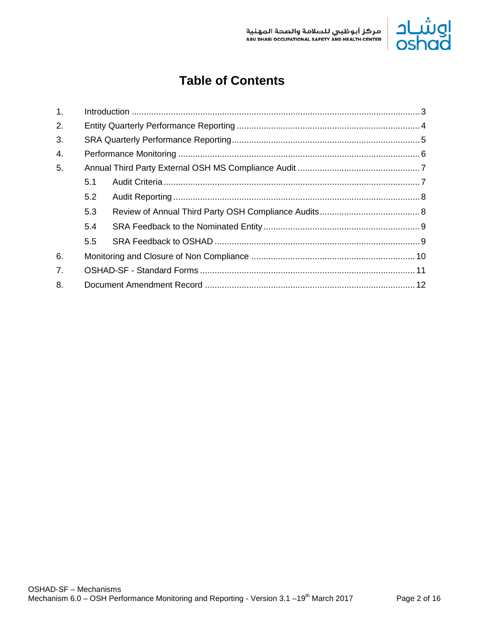

## **Table of Contents**

| $\mathbf{1}$ . |     |  |  |  |
|----------------|-----|--|--|--|
| 2.             |     |  |  |  |
| 3.             |     |  |  |  |
| 4.             |     |  |  |  |
| 5.             |     |  |  |  |
|                | 5.1 |  |  |  |
|                | 5.2 |  |  |  |
|                | 5.3 |  |  |  |
|                | 5.4 |  |  |  |
|                | 5.5 |  |  |  |
| 6.             |     |  |  |  |
| 7 <sub>1</sub> |     |  |  |  |
| 8.             |     |  |  |  |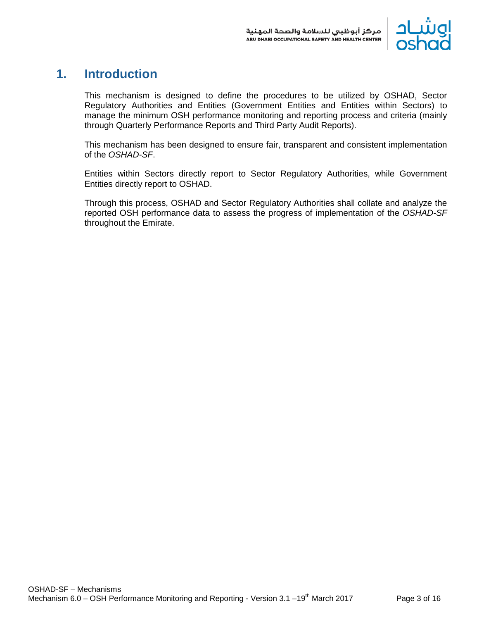

## <span id="page-3-0"></span>**1. Introduction**

This mechanism is designed to define the procedures to be utilized by OSHAD, Sector Regulatory Authorities and Entities (Government Entities and Entities within Sectors) to manage the minimum OSH performance monitoring and reporting process and criteria (mainly through Quarterly Performance Reports and Third Party Audit Reports).

This mechanism has been designed to ensure fair, transparent and consistent implementation of the *OSHAD-SF*.

Entities within Sectors directly report to Sector Regulatory Authorities, while Government Entities directly report to OSHAD.

Through this process, OSHAD and Sector Regulatory Authorities shall collate and analyze the reported OSH performance data to assess the progress of implementation of the *OSHAD-SF* throughout the Emirate.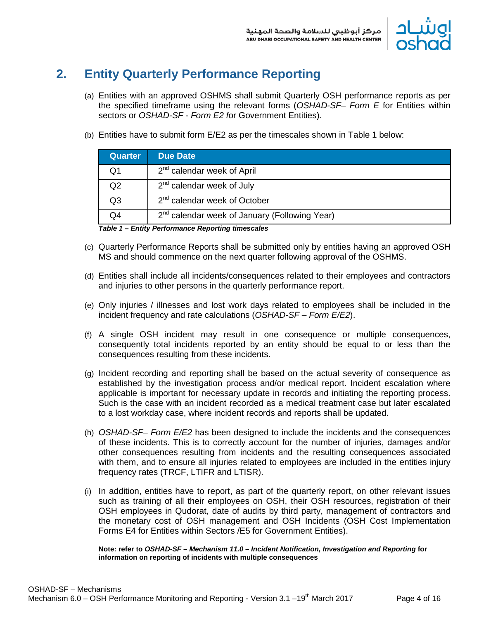

## <span id="page-4-0"></span>**2. Entity Quarterly Performance Reporting**

- (a) Entities with an approved OSHMS shall submit Quarterly OSH performance reports as per the specified timeframe using the relevant forms (*OSHAD-SF– Form E* for Entities within sectors or *OSHAD-SF - Form E2 f*or Government Entities).
- (b) Entities have to submit form E/E2 as per the timescales shown in Table 1 below:

| <b>Quarter</b> | <b>Due Date</b>                                           |
|----------------|-----------------------------------------------------------|
| Q1             | $2nd$ calendar week of April                              |
| Q2             | $2nd$ calendar week of July                               |
| Q3             | $2^{nd}$ calendar week of October                         |
| O4             | 2 <sup>nd</sup> calendar week of January (Following Year) |

*Table 1 – Entity Performance Reporting timescales*

- (c) Quarterly Performance Reports shall be submitted only by entities having an approved OSH MS and should commence on the next quarter following approval of the OSHMS.
- (d) Entities shall include all incidents/consequences related to their employees and contractors and injuries to other persons in the quarterly performance report.
- (e) Only injuries / illnesses and lost work days related to employees shall be included in the incident frequency and rate calculations (*OSHAD-SF – Form E/E2*).
- (f) A single OSH incident may result in one consequence or multiple consequences, consequently total incidents reported by an entity should be equal to or less than the consequences resulting from these incidents.
- (g) Incident recording and reporting shall be based on the actual severity of consequence as established by the investigation process and/or medical report. Incident escalation where applicable is important for necessary update in records and initiating the reporting process. Such is the case with an incident recorded as a medical treatment case but later escalated to a lost workday case, where incident records and reports shall be updated.
- (h) *OSHAD-SF– Form E/E2* has been designed to include the incidents and the consequences of these incidents. This is to correctly account for the number of injuries, damages and/or other consequences resulting from incidents and the resulting consequences associated with them, and to ensure all injuries related to employees are included in the entities injury frequency rates (TRCF, LTIFR and LTISR).
- (i) In addition, entities have to report, as part of the quarterly report, on other relevant issues such as training of all their employees on OSH, their OSH resources, registration of their OSH employees in Qudorat, date of audits by third party, management of contractors and the monetary cost of OSH management and OSH Incidents (OSH Cost Implementation Forms E4 for Entities within Sectors /E5 for Government Entities).

**Note: refer to** *OSHAD-SF – Mechanism 11.0 – Incident Notification, Investigation and Reporting* **for information on reporting of incidents with multiple consequences**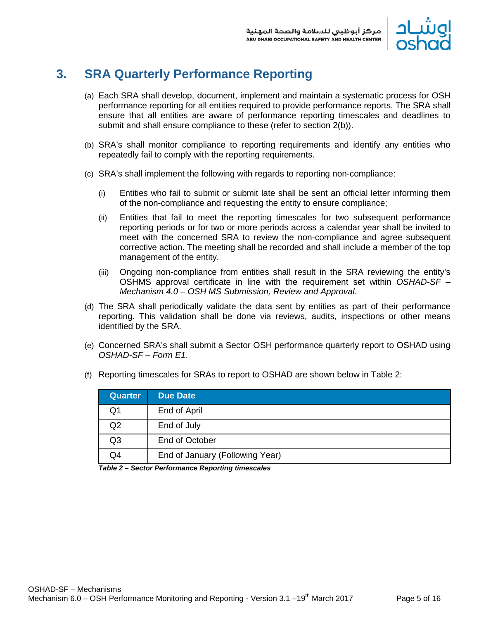

## <span id="page-5-0"></span>**3. SRA Quarterly Performance Reporting**

- (a) Each SRA shall develop, document, implement and maintain a systematic process for OSH performance reporting for all entities required to provide performance reports. The SRA shall ensure that all entities are aware of performance reporting timescales and deadlines to submit and shall ensure compliance to these (refer to section 2(b)).
- (b) SRA's shall monitor compliance to reporting requirements and identify any entities who repeatedly fail to comply with the reporting requirements.
- (c) SRA's shall implement the following with regards to reporting non-compliance:
	- (i) Entities who fail to submit or submit late shall be sent an official letter informing them of the non-compliance and requesting the entity to ensure compliance;
	- (ii) Entities that fail to meet the reporting timescales for two subsequent performance reporting periods or for two or more periods across a calendar year shall be invited to meet with the concerned SRA to review the non-compliance and agree subsequent corrective action. The meeting shall be recorded and shall include a member of the top management of the entity.
	- (iii) Ongoing non-compliance from entities shall result in the SRA reviewing the entity's OSHMS approval certificate in line with the requirement set within *OSHAD-SF – Mechanism 4.0 – OSH MS Submission, Review and Approval*.
- (d) The SRA shall periodically validate the data sent by entities as part of their performance reporting. This validation shall be done via reviews, audits, inspections or other means identified by the SRA.
- (e) Concerned SRA's shall submit a Sector OSH performance quarterly report to OSHAD using *OSHAD-SF – Form E1*.

| <b>Quarter</b> | <b>Due Date</b>                 |
|----------------|---------------------------------|
| Q1             | End of April                    |
| Q2             | End of July                     |
| Q <sub>3</sub> | End of October                  |
| Q4             | End of January (Following Year) |

(f) Reporting timescales for SRAs to report to OSHAD are shown below in Table 2:

*Table 2 – Sector Performance Reporting timescales*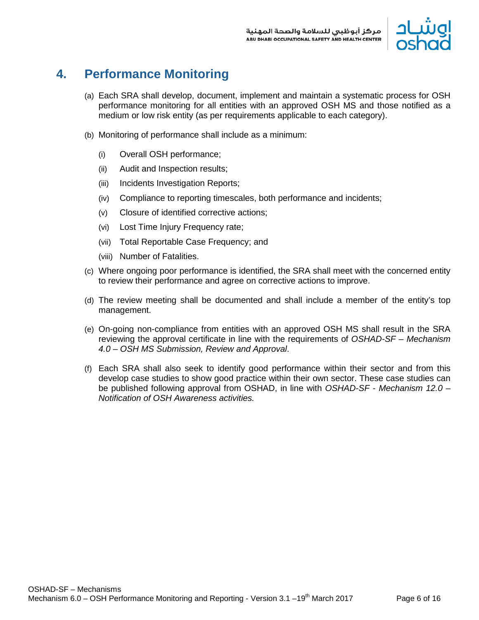

## <span id="page-6-0"></span>**4. Performance Monitoring**

- (a) Each SRA shall develop, document, implement and maintain a systematic process for OSH performance monitoring for all entities with an approved OSH MS and those notified as a medium or low risk entity (as per requirements applicable to each category).
- (b) Monitoring of performance shall include as a minimum:
	- (i) Overall OSH performance;
	- (ii) Audit and Inspection results;
	- (iii) Incidents Investigation Reports;
	- (iv) Compliance to reporting timescales, both performance and incidents;
	- (v) Closure of identified corrective actions;
	- (vi) Lost Time Injury Frequency rate;
	- (vii) Total Reportable Case Frequency; and
	- (viii) Number of Fatalities.
- (c) Where ongoing poor performance is identified, the SRA shall meet with the concerned entity to review their performance and agree on corrective actions to improve.
- (d) The review meeting shall be documented and shall include a member of the entity's top management.
- (e) On-going non-compliance from entities with an approved OSH MS shall result in the SRA reviewing the approval certificate in line with the requirements of *OSHAD-SF – Mechanism 4.0 – OSH MS Submission, Review and Approval*.
- (f) Each SRA shall also seek to identify good performance within their sector and from this develop case studies to show good practice within their own sector. These case studies can be published following approval from OSHAD, in line with *OSHAD-SF - Mechanism 12.0 – Notification of OSH Awareness activities.*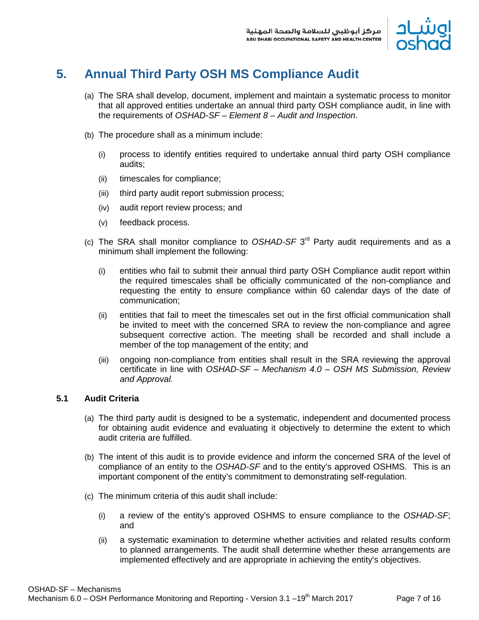

## <span id="page-7-0"></span>**5. Annual Third Party OSH MS Compliance Audit**

- (a) The SRA shall develop, document, implement and maintain a systematic process to monitor that all approved entities undertake an annual third party OSH compliance audit, in line with the requirements of *OSHAD-SF – Element 8 – Audit and Inspection*.
- (b) The procedure shall as a minimum include:
	- (i) process to identify entities required to undertake annual third party OSH compliance audits;
	- (ii) timescales for compliance;
	- (iii) third party audit report submission process;
	- (iv) audit report review process; and
	- (v) feedback process.
- (c) The SRA shall monitor compliance to *OSHAD-SF* 3rd Party audit requirements and as a minimum shall implement the following:
	- (i) entities who fail to submit their annual third party OSH Compliance audit report within the required timescales shall be officially communicated of the non-compliance and requesting the entity to ensure compliance within 60 calendar days of the date of communication;
	- (ii) entities that fail to meet the timescales set out in the first official communication shall be invited to meet with the concerned SRA to review the non-compliance and agree subsequent corrective action. The meeting shall be recorded and shall include a member of the top management of the entity; and
	- (iii) ongoing non-compliance from entities shall result in the SRA reviewing the approval certificate in line with *OSHAD-SF – Mechanism 4.0 – OSH MS Submission, Review and Approval.*

#### <span id="page-7-1"></span>**5.1 Audit Criteria**

- (a) The third party audit is designed to be a systematic, independent and documented process for obtaining audit evidence and evaluating it objectively to determine the extent to which audit criteria are fulfilled.
- (b) The intent of this audit is to provide evidence and inform the concerned SRA of the level of compliance of an entity to the *OSHAD-SF* and to the entity's approved OSHMS. This is an important component of the entity's commitment to demonstrating self-regulation.
- (c) The minimum criteria of this audit shall include:
	- (i) a review of the entity's approved OSHMS to ensure compliance to the *OSHAD-SF*; and
	- (ii) a systematic examination to determine whether activities and related results conform to planned arrangements. The audit shall determine whether these arrangements are implemented effectively and are appropriate in achieving the entity's objectives.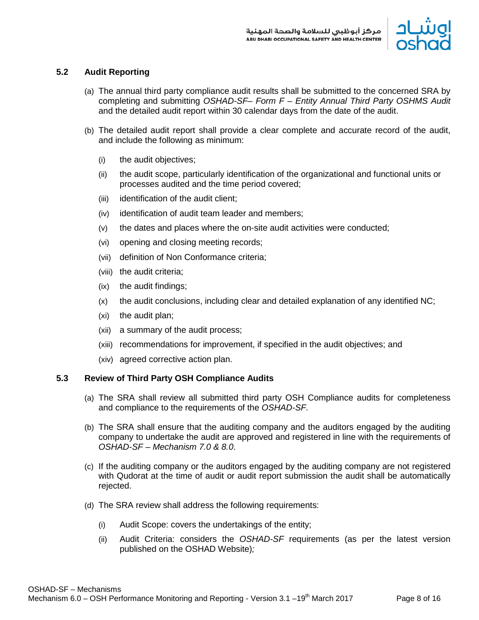

#### <span id="page-8-0"></span>**5.2 Audit Reporting**

- (a) The annual third party compliance audit results shall be submitted to the concerned SRA by completing and submitting *OSHAD-SF– Form F – Entity Annual Third Party OSHMS Audit*  and the detailed audit report within 30 calendar days from the date of the audit.
- (b) The detailed audit report shall provide a clear complete and accurate record of the audit, and include the following as minimum:
	- (i) the audit objectives;
	- (ii) the audit scope, particularly identification of the organizational and functional units or processes audited and the time period covered;
	- (iii) identification of the audit client;
	- (iv) identification of audit team leader and members;
	- (v) the dates and places where the on-site audit activities were conducted;
	- (vi) opening and closing meeting records;
	- (vii) definition of Non Conformance criteria;
	- (viii) the audit criteria;
	- (ix) the audit findings;
	- (x) the audit conclusions, including clear and detailed explanation of any identified NC;
	- (xi) the audit plan;
	- (xii) a summary of the audit process;
	- (xiii) recommendations for improvement, if specified in the audit objectives; and
	- (xiv) agreed corrective action plan.

#### <span id="page-8-1"></span>**5.3 Review of Third Party OSH Compliance Audits**

- (a) The SRA shall review all submitted third party OSH Compliance audits for completeness and compliance to the requirements of the *OSHAD-SF.*
- (b) The SRA shall ensure that the auditing company and the auditors engaged by the auditing company to undertake the audit are approved and registered in line with the requirements of *OSHAD-SF – Mechanism 7.0 & 8.0*.
- (c) If the auditing company or the auditors engaged by the auditing company are not registered with Qudorat at the time of audit or audit report submission the audit shall be automatically rejected.
- (d) The SRA review shall address the following requirements:
	- (i) Audit Scope: covers the undertakings of the entity;
	- (ii) Audit Criteria: considers the *OSHAD-SF* requirements (as per the latest version published on the OSHAD Website)*;*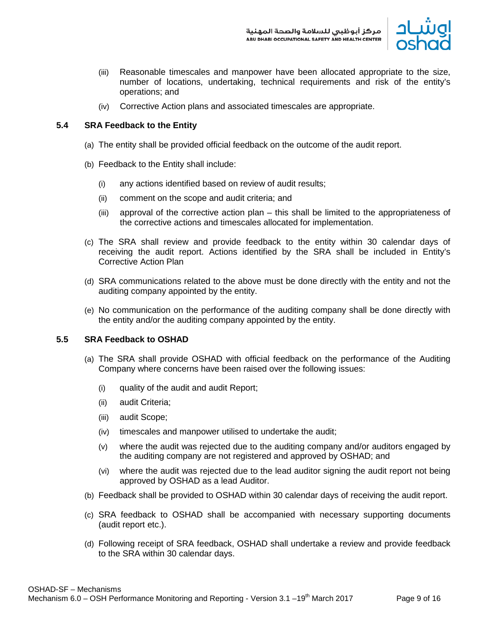

- (iii) Reasonable timescales and manpower have been allocated appropriate to the size, number of locations, undertaking, technical requirements and risk of the entity's operations; and
- (iv) Corrective Action plans and associated timescales are appropriate.

#### <span id="page-9-0"></span>**5.4 SRA Feedback to the Entity**

- (a) The entity shall be provided official feedback on the outcome of the audit report.
- (b) Feedback to the Entity shall include:
	- (i) any actions identified based on review of audit results;
	- (ii) comment on the scope and audit criteria; and
	- (iii) approval of the corrective action plan this shall be limited to the appropriateness of the corrective actions and timescales allocated for implementation.
- (c) The SRA shall review and provide feedback to the entity within 30 calendar days of receiving the audit report. Actions identified by the SRA shall be included in Entity's Corrective Action Plan
- (d) SRA communications related to the above must be done directly with the entity and not the auditing company appointed by the entity.
- (e) No communication on the performance of the auditing company shall be done directly with the entity and/or the auditing company appointed by the entity.

#### <span id="page-9-1"></span>**5.5 SRA Feedback to OSHAD**

- (a) The SRA shall provide OSHAD with official feedback on the performance of the Auditing Company where concerns have been raised over the following issues:
	- (i) quality of the audit and audit Report;
	- (ii) audit Criteria;
	- (iii) audit Scope;
	- (iv) timescales and manpower utilised to undertake the audit;
	- (v) where the audit was rejected due to the auditing company and/or auditors engaged by the auditing company are not registered and approved by OSHAD; and
	- (vi) where the audit was rejected due to the lead auditor signing the audit report not being approved by OSHAD as a lead Auditor.
- (b) Feedback shall be provided to OSHAD within 30 calendar days of receiving the audit report.
- (c) SRA feedback to OSHAD shall be accompanied with necessary supporting documents (audit report etc.).
- (d) Following receipt of SRA feedback, OSHAD shall undertake a review and provide feedback to the SRA within 30 calendar days.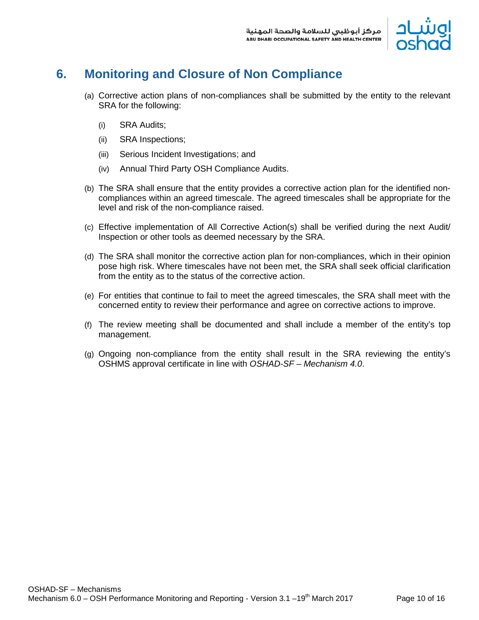

## <span id="page-10-0"></span>**6. Monitoring and Closure of Non Compliance**

- (a) Corrective action plans of non-compliances shall be submitted by the entity to the relevant SRA for the following:
	- (i) SRA Audits;
	- (ii) SRA Inspections;
	- (iii) Serious Incident Investigations; and
	- (iv) Annual Third Party OSH Compliance Audits.
- (b) The SRA shall ensure that the entity provides a corrective action plan for the identified noncompliances within an agreed timescale. The agreed timescales shall be appropriate for the level and risk of the non-compliance raised.
- (c) Effective implementation of All Corrective Action(s) shall be verified during the next Audit/ Inspection or other tools as deemed necessary by the SRA.
- (d) The SRA shall monitor the corrective action plan for non-compliances, which in their opinion pose high risk. Where timescales have not been met, the SRA shall seek official clarification from the entity as to the status of the corrective action.
- (e) For entities that continue to fail to meet the agreed timescales, the SRA shall meet with the concerned entity to review their performance and agree on corrective actions to improve.
- (f) The review meeting shall be documented and shall include a member of the entity's top management.
- (g) Ongoing non-compliance from the entity shall result in the SRA reviewing the entity's OSHMS approval certificate in line with *OSHAD-SF – Mechanism 4.0*.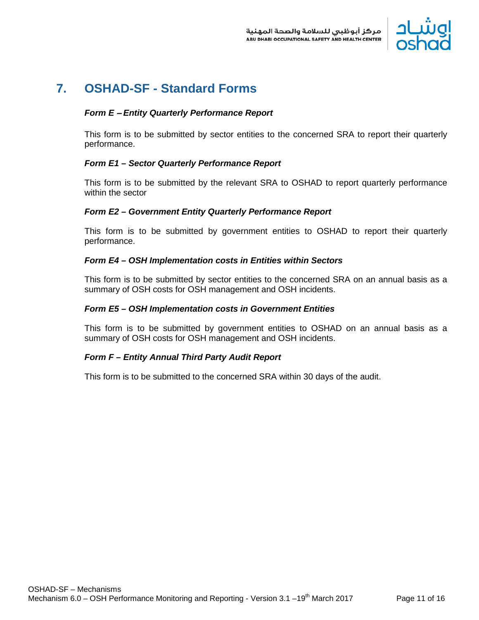

### <span id="page-11-0"></span>**7. OSHAD-SF - Standard Forms**

#### *Form E* – *Entity Quarterly Performance Report*

This form is to be submitted by sector entities to the concerned SRA to report their quarterly performance.

#### *Form E1 – Sector Quarterly Performance Report*

This form is to be submitted by the relevant SRA to OSHAD to report quarterly performance within the sector

#### *Form E2 – Government Entity Quarterly Performance Report*

This form is to be submitted by government entities to OSHAD to report their quarterly performance.

#### *Form E4 – OSH Implementation costs in Entities within Sectors*

This form is to be submitted by sector entities to the concerned SRA on an annual basis as a summary of OSH costs for OSH management and OSH incidents.

#### *Form E5 – OSH Implementation costs in Government Entities*

This form is to be submitted by government entities to OSHAD on an annual basis as a summary of OSH costs for OSH management and OSH incidents.

#### *Form F – Entity Annual Third Party Audit Report*

This form is to be submitted to the concerned SRA within 30 days of the audit.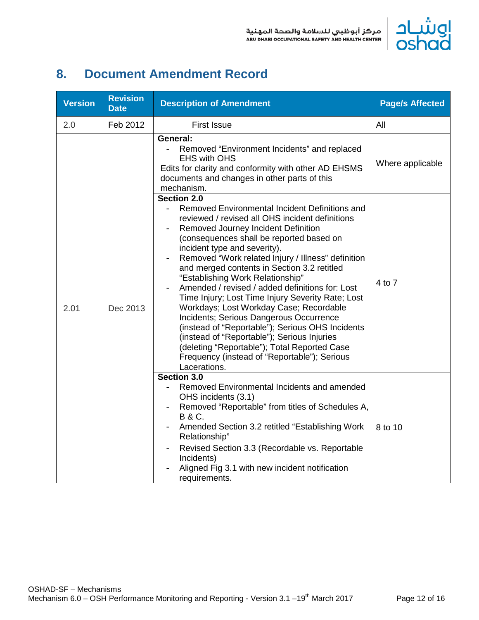

## <span id="page-12-0"></span>**8. Document Amendment Record**

| <b>Version</b> | <b>Revision</b><br><b>Date</b> | <b>Description of Amendment</b>                                                                                                                                                                                                                                                                                                                                                                                                                                                                                                                                                                                                                                                                                              | <b>Page/s Affected</b> |
|----------------|--------------------------------|------------------------------------------------------------------------------------------------------------------------------------------------------------------------------------------------------------------------------------------------------------------------------------------------------------------------------------------------------------------------------------------------------------------------------------------------------------------------------------------------------------------------------------------------------------------------------------------------------------------------------------------------------------------------------------------------------------------------------|------------------------|
| 2.0            | Feb 2012                       | <b>First Issue</b>                                                                                                                                                                                                                                                                                                                                                                                                                                                                                                                                                                                                                                                                                                           | All                    |
|                |                                | General:<br>Removed "Environment Incidents" and replaced<br><b>EHS with OHS</b><br>Edits for clarity and conformity with other AD EHSMS<br>documents and changes in other parts of this<br>mechanism.<br>Section 2.0<br>Removed Environmental Incident Definitions and                                                                                                                                                                                                                                                                                                                                                                                                                                                       | Where applicable       |
| 2.01           | Dec 2013                       | reviewed / revised all OHS incident definitions<br>Removed Journey Incident Definition<br>(consequences shall be reported based on<br>incident type and severity).<br>Removed "Work related Injury / Illness" definition<br>and merged contents in Section 3.2 retitled<br>"Establishing Work Relationship"<br>Amended / revised / added definitions for: Lost<br>Time Injury; Lost Time Injury Severity Rate; Lost<br>Workdays; Lost Workday Case; Recordable<br>Incidents; Serious Dangerous Occurrence<br>(instead of "Reportable"); Serious OHS Incidents<br>(instead of "Reportable"); Serious Injuries<br>(deleting "Reportable"); Total Reported Case<br>Frequency (instead of "Reportable"); Serious<br>Lacerations. | 4 to 7                 |
|                |                                | Section 3.0<br>Removed Environmental Incidents and amended<br>$\overline{\phantom{0}}$<br>OHS incidents (3.1)<br>Removed "Reportable" from titles of Schedules A,<br><b>B&amp;C.</b><br>Amended Section 3.2 retitled "Establishing Work"<br>$\qquad \qquad -$<br>Relationship"<br>Revised Section 3.3 (Recordable vs. Reportable<br>Incidents)<br>Aligned Fig 3.1 with new incident notification<br>requirements.                                                                                                                                                                                                                                                                                                            | 8 to 10                |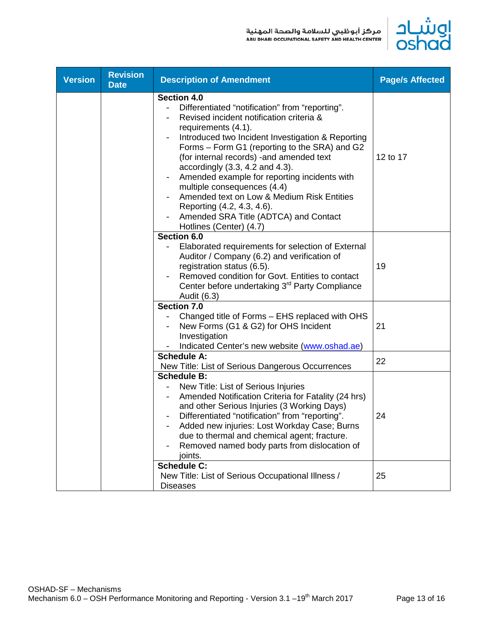

| <b>Version</b> | <b>Revision</b><br><b>Date</b> | <b>Description of Amendment</b>                                                                                                                                                                                                                                                                                                                                                                                                                                                                                                                                   | <b>Page/s Affected</b> |
|----------------|--------------------------------|-------------------------------------------------------------------------------------------------------------------------------------------------------------------------------------------------------------------------------------------------------------------------------------------------------------------------------------------------------------------------------------------------------------------------------------------------------------------------------------------------------------------------------------------------------------------|------------------------|
|                |                                | <b>Section 4.0</b><br>Differentiated "notification" from "reporting".<br>Revised incident notification criteria &<br>requirements (4.1).<br>Introduced two Incident Investigation & Reporting<br>Forms - Form G1 (reporting to the SRA) and G2<br>(for internal records) - and amended text<br>accordingly $(3.3, 4.2, and 4.3)$ .<br>Amended example for reporting incidents with<br>multiple consequences (4.4)<br>Amended text on Low & Medium Risk Entities<br>Reporting (4.2, 4.3, 4.6).<br>Amended SRA Title (ADTCA) and Contact<br>Hotlines (Center) (4.7) | 12 to 17               |
|                |                                | Section 6.0<br>Elaborated requirements for selection of External<br>Auditor / Company (6.2) and verification of<br>registration status (6.5).<br>Removed condition for Govt. Entities to contact<br>Center before undertaking 3 <sup>rd</sup> Party Compliance<br>Audit (6.3)                                                                                                                                                                                                                                                                                     | 19                     |
|                |                                | <b>Section 7.0</b><br>Changed title of Forms - EHS replaced with OHS<br>New Forms (G1 & G2) for OHS Incident<br>Investigation<br>Indicated Center's new website (www.oshad.ae)                                                                                                                                                                                                                                                                                                                                                                                    | 21                     |
|                |                                | <b>Schedule A:</b><br>New Title: List of Serious Dangerous Occurrences                                                                                                                                                                                                                                                                                                                                                                                                                                                                                            | 22                     |
|                |                                | <b>Schedule B:</b><br>New Title: List of Serious Injuries<br>Amended Notification Criteria for Fatality (24 hrs)<br>and other Serious Injuries (3 Working Days)<br>Differentiated "notification" from "reporting".<br>Added new injuries: Lost Workday Case; Burns<br>due to thermal and chemical agent; fracture.<br>Removed named body parts from dislocation of<br>joints.                                                                                                                                                                                     | 24                     |
|                |                                | <b>Schedule C:</b><br>New Title: List of Serious Occupational Illness /<br><b>Diseases</b>                                                                                                                                                                                                                                                                                                                                                                                                                                                                        | 25                     |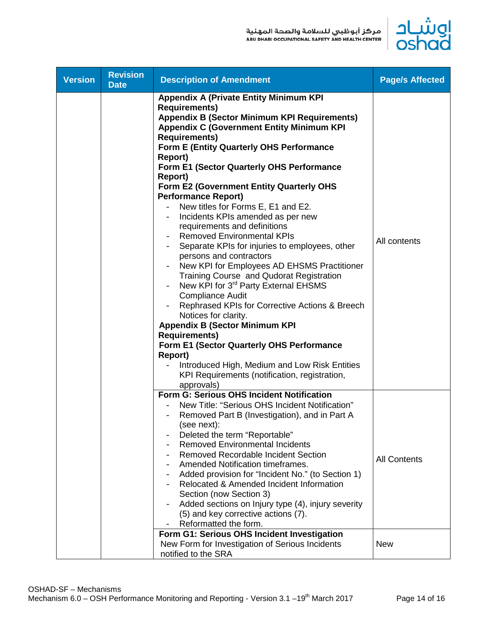

| <b>Version</b> | <b>Revision</b><br><b>Date</b> | <b>Description of Amendment</b>                                                                                                                                                                                                                                                                                                                                                                                                                                                                                                                                                                                                                                                                                                                                                                                                                                                                                                                                                                                                                                                                                                                                               | <b>Page/s Affected</b> |
|----------------|--------------------------------|-------------------------------------------------------------------------------------------------------------------------------------------------------------------------------------------------------------------------------------------------------------------------------------------------------------------------------------------------------------------------------------------------------------------------------------------------------------------------------------------------------------------------------------------------------------------------------------------------------------------------------------------------------------------------------------------------------------------------------------------------------------------------------------------------------------------------------------------------------------------------------------------------------------------------------------------------------------------------------------------------------------------------------------------------------------------------------------------------------------------------------------------------------------------------------|------------------------|
|                |                                | <b>Appendix A (Private Entity Minimum KPI</b><br><b>Requirements)</b><br><b>Appendix B (Sector Minimum KPI Requirements)</b><br><b>Appendix C (Government Entity Minimum KPI</b><br><b>Requirements)</b><br><b>Form E (Entity Quarterly OHS Performance</b><br>Report)<br>Form E1 (Sector Quarterly OHS Performance<br><b>Report</b> )<br>Form E2 (Government Entity Quarterly OHS<br><b>Performance Report)</b><br>New titles for Forms E, E1 and E2.<br>Incidents KPIs amended as per new<br>$\overline{\phantom{0}}$<br>requirements and definitions<br><b>Removed Environmental KPIs</b><br>Separate KPIs for injuries to employees, other<br>persons and contractors<br>New KPI for Employees AD EHSMS Practitioner<br>Training Course and Qudorat Registration<br>New KPI for 3 <sup>rd</sup> Party External EHSMS<br><b>Compliance Audit</b><br>Rephrased KPIs for Corrective Actions & Breech<br>Notices for clarity.<br><b>Appendix B (Sector Minimum KPI</b><br><b>Requirements)</b><br>Form E1 (Sector Quarterly OHS Performance<br><b>Report)</b><br>Introduced High, Medium and Low Risk Entities<br>KPI Requirements (notification, registration,<br>approvals) | All contents           |
|                |                                | Form G: Serious OHS Incident Notification<br>New Title: "Serious OHS Incident Notification"<br>Removed Part B (Investigation), and in Part A<br>(see next):<br>Deleted the term "Reportable"<br><b>Removed Environmental Incidents</b><br><b>Removed Recordable Incident Section</b><br>Amended Notification timeframes.<br>Added provision for "Incident No." (to Section 1)<br>-<br>Relocated & Amended Incident Information<br>Section (now Section 3)<br>Added sections on Injury type (4), injury severity<br>(5) and key corrective actions (7).<br>Reformatted the form.                                                                                                                                                                                                                                                                                                                                                                                                                                                                                                                                                                                               | <b>All Contents</b>    |
|                |                                | Form G1: Serious OHS Incident Investigation<br>New Form for Investigation of Serious Incidents<br>notified to the SRA                                                                                                                                                                                                                                                                                                                                                                                                                                                                                                                                                                                                                                                                                                                                                                                                                                                                                                                                                                                                                                                         | <b>New</b>             |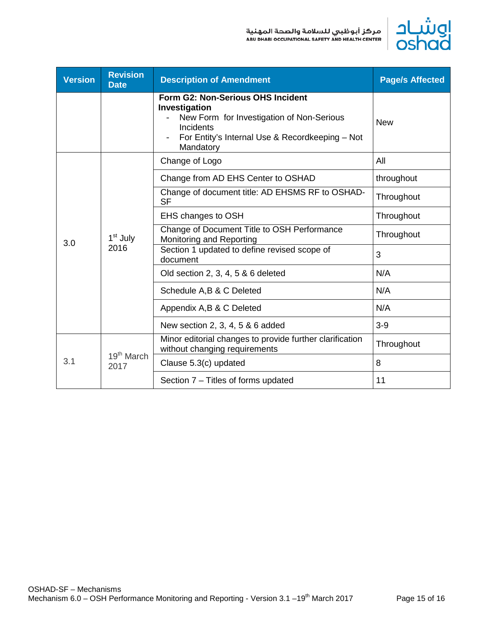

| <b>Version</b> | <b>Revision</b><br><b>Date</b> | <b>Description of Amendment</b>                                                                                                                                              | <b>Page/s Affected</b> |
|----------------|--------------------------------|------------------------------------------------------------------------------------------------------------------------------------------------------------------------------|------------------------|
|                |                                | Form G2: Non-Serious OHS Incident<br>Investigation<br>New Form for Investigation of Non-Serious<br>Incidents<br>For Entity's Internal Use & Recordkeeping - Not<br>Mandatory | <b>New</b>             |
|                | 1 <sup>st</sup> July<br>2016   | Change of Logo                                                                                                                                                               | All                    |
|                |                                | Change from AD EHS Center to OSHAD                                                                                                                                           | throughout             |
|                |                                | Change of document title: AD EHSMS RF to OSHAD-<br><b>SF</b>                                                                                                                 | Throughout             |
|                |                                | EHS changes to OSH                                                                                                                                                           | Throughout             |
| 3.0            |                                | Change of Document Title to OSH Performance<br>Monitoring and Reporting                                                                                                      | Throughout             |
|                |                                | Section 1 updated to define revised scope of<br>document                                                                                                                     | 3                      |
|                |                                | Old section 2, 3, 4, 5 & 6 deleted                                                                                                                                           | N/A                    |
|                |                                | Schedule A, B & C Deleted                                                                                                                                                    | N/A                    |
|                |                                | Appendix A, B & C Deleted                                                                                                                                                    | N/A                    |
|                |                                | New section 2, 3, 4, 5 & 6 added                                                                                                                                             | $3-9$                  |
|                | 19 <sup>th</sup> March<br>2017 | Minor editorial changes to provide further clarification<br>without changing requirements                                                                                    | Throughout             |
| 3.1            |                                | Clause 5.3(c) updated                                                                                                                                                        | 8                      |
|                |                                | Section 7 – Titles of forms updated                                                                                                                                          | 11                     |